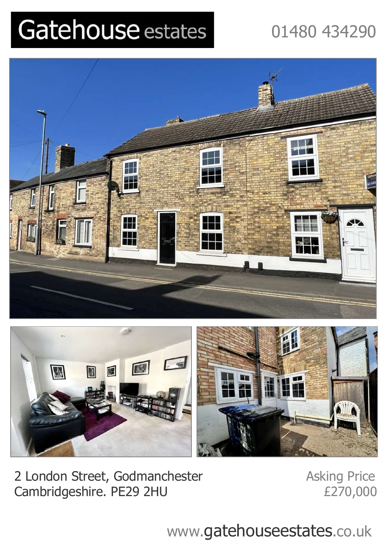## Gatehouse estates

## 01480 434290





2 London Street, Godmanchester Asking Price Cambridgeshire. PE29 2HU *£270,000* 

www.gatehouseestates.co.uk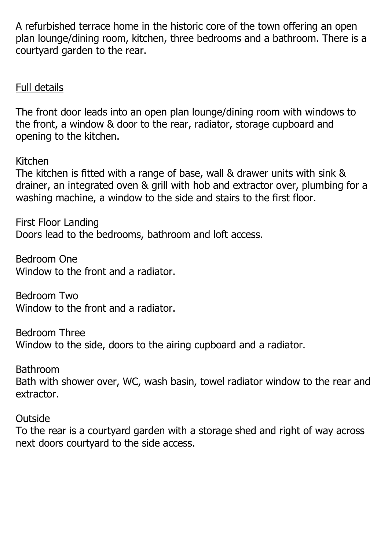A refurbished terrace home in the historic core of the town offering an open plan lounge/dining room, kitchen, three bedrooms and a bathroom. There is a courtyard garden to the rear.

Full details

The front door leads into an open plan lounge/dining room with windows to the front, a window & door to the rear, radiator, storage cupboard and opening to the kitchen.

Kitchen

The kitchen is fitted with a range of base, wall & drawer units with sink & drainer, an integrated oven & grill with hob and extractor over, plumbing for a washing machine, a window to the side and stairs to the first floor.

First Floor Landing Doors lead to the bedrooms, bathroom and loft access.

Bedroom One Window to the front and a radiator.

Bedroom Two Window to the front and a radiator.

Bedroom Three Window to the side, doors to the airing cupboard and a radiator.

Bathroom Bath with shower over, WC, wash basin, towel radiator window to the rear and extractor.

Outside

To the rear is a courtyard garden with a storage shed and right of way across next doors courtyard to the side access.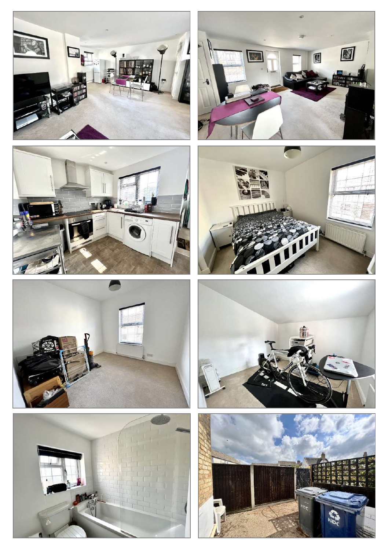